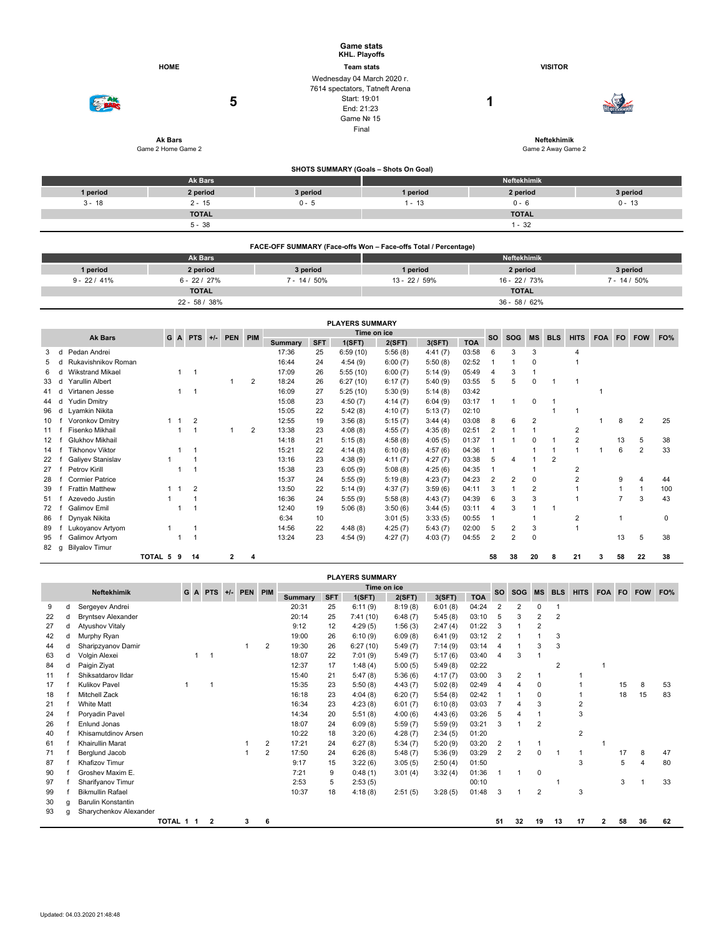|          |                     |          | <b>Game stats</b><br>KHL. Playoffs                                                                                |                         |          |  |  |  |  |  |  |
|----------|---------------------|----------|-------------------------------------------------------------------------------------------------------------------|-------------------------|----------|--|--|--|--|--|--|
|          | <b>HOME</b>         |          | <b>Team stats</b>                                                                                                 | <b>VISITOR</b>          |          |  |  |  |  |  |  |
|          | 5<br><b>Ak Bars</b> |          | Wednesday 04 March 2020 r.<br>7614 spectators, Tatneft Arena<br>Start: 19:01<br>End: 21:23<br>Game Nº 15<br>Final | ٠<br><b>Neftekhimik</b> |          |  |  |  |  |  |  |
|          | Game 2 Home Game 2  |          | Game 2 Away Game 2                                                                                                |                         |          |  |  |  |  |  |  |
|          |                     |          | SHOTS SUMMARY (Goals - Shots On Goal)                                                                             |                         |          |  |  |  |  |  |  |
|          | Ak Bars             |          |                                                                                                                   | Neftekhimik             |          |  |  |  |  |  |  |
| 1 period | 2 period            | 3 period | 1 period                                                                                                          | 2 period                | 3 period |  |  |  |  |  |  |
| $3 - 18$ | $2 - 15$            | $0 - 5$  | $1 - 13$                                                                                                          | $0 - 6$                 | $0 - 13$ |  |  |  |  |  |  |
|          | <b>TOTAL</b>        |          |                                                                                                                   | <b>TOTAL</b>            |          |  |  |  |  |  |  |
|          | $5 - 38$            |          |                                                                                                                   | $1 - 32$                |          |  |  |  |  |  |  |

|                 | FACE-OFF SUMMARY (Face-offs Won – Face-offs Total / Percentage) |                 |               |                 |                 |  |  |  |  |  |  |  |  |  |
|-----------------|-----------------------------------------------------------------|-----------------|---------------|-----------------|-----------------|--|--|--|--|--|--|--|--|--|
|                 | <b>Ak Bars</b>                                                  |                 | Neftekhimik   |                 |                 |  |  |  |  |  |  |  |  |  |
| 1 period        | 2 period                                                        | 3 period        | 1 period      | 2 period        | 3 period        |  |  |  |  |  |  |  |  |  |
| $9 - 22 / 41\%$ | $6 - 22 / 27\%$                                                 | $7 - 14 / 50\%$ | $13 - 22/59%$ | 16 - 22 / 73%   | $7 - 14 / 50\%$ |  |  |  |  |  |  |  |  |  |
|                 | <b>TOTAL</b>                                                    |                 |               | <b>TOTAL</b>    |                 |  |  |  |  |  |  |  |  |  |
|                 | $22 - 58/38%$                                                   |                 |               | $36 - 58 / 62%$ |                 |  |  |  |  |  |  |  |  |  |

| <b>PLAYERS SUMMARY</b> |   |                                                         |         |             |                |  |   |                |         |            |          |         |           |            |                |                |                |            |                |            |     |                |     |
|------------------------|---|---------------------------------------------------------|---------|-------------|----------------|--|---|----------------|---------|------------|----------|---------|-----------|------------|----------------|----------------|----------------|------------|----------------|------------|-----|----------------|-----|
|                        |   | Time on ice<br>G A PTS +/- PEN<br>PIM<br><b>Ak Bars</b> |         |             |                |  |   |                |         |            |          |         | <b>SO</b> | SOG        | <b>MS</b>      | <b>BLS</b>     | <b>HITS</b>    | <b>FOA</b> | <b>FO</b>      | <b>FOW</b> | FO% |                |     |
|                        |   |                                                         |         |             |                |  |   |                | Summary | <b>SFT</b> | 1(SFT)   | 2(SFT)  | 3(SFT)    | <b>TOA</b> |                |                |                |            |                |            |     |                |     |
|                        |   | Pedan Andrei                                            |         |             |                |  |   |                | 17:36   | 25         | 6:59(10) | 5:56(8) | 4:41(7)   | 03:58      | 6              | 3              | -3             |            |                |            |     |                |     |
|                        |   | Rukavishnikov Roman                                     |         |             |                |  |   |                | 16:44   | 24         | 4:54(9)  | 6:00(7) | 5:50(8)   | 02:52      |                |                | 0              |            |                |            |     |                |     |
| 6                      |   | <b>Wikstrand Mikael</b>                                 |         |             | -1             |  |   |                | 17:09   | 26         | 5:55(10) | 6:00(7) | 5:14(9)   | 05:49      |                | 3              |                |            |                |            |     |                |     |
| 33                     |   | Yarullin Albert                                         |         |             |                |  |   | $\overline{2}$ | 18:24   | 26         | 6:27(10) | 6:17(7) | 5:40(9)   | 03:55      | 5              | 5              | $\mathbf 0$    |            |                |            |     |                |     |
| 41                     |   | Virtanen Jesse                                          |         |             | -1             |  |   |                | 16:09   | 27         | 5:25(10) | 5:30(9) | 5:14(8)   | 03:42      |                |                |                |            |                |            |     |                |     |
| 44                     |   | <b>Yudin Dmitry</b>                                     |         |             |                |  |   |                | 15:08   | 23         | 4:50(7)  | 4:14(7) | 6:04(9)   | 03:17      |                |                | $\mathbf 0$    |            |                |            |     |                |     |
| 96                     | d | Lyamkin Nikita                                          |         |             |                |  |   |                | 15:05   | 22         | 5:42(8)  | 4:10(7) | 5:13(7)   | 02:10      |                |                |                |            |                |            |     |                |     |
| 10                     |   | Voronkov Dmitry                                         |         |             | $\overline{2}$ |  |   |                | 12:55   | 19         | 3:56(8)  | 5:15(7) | 3:44(4)   | 03:08      | 8              | 6              | $\overline{2}$ |            |                |            | 8   | $\overline{2}$ | 25  |
| 11                     |   | Fisenko Mikhail                                         |         |             |                |  |   | 2              | 13:38   | 23         | 4:08(8)  | 4:55(7) | 4:35(8)   | 02:51      | 2              |                |                |            | 2              |            |     |                |     |
| $12 \overline{ }$      |   | Glukhov Mikhail                                         |         |             |                |  |   |                | 14:18   | 21         | 5:15(8)  | 4:58(8) | 4:05(5)   | 01:37      |                |                | n              |            | 2              |            | 13  | 5              | 38  |
| 14                     |   | <b>Tikhonov Viktor</b>                                  |         |             |                |  |   |                | 15:21   | 22         | 4:14(8)  | 6:10(8) | 4:57(6)   | 04:36      |                |                |                |            |                |            | 6   | $\overline{2}$ | 33  |
| 22                     |   | Galiyev Stanislav                                       |         |             |                |  |   |                | 13:16   | 23         | 4:38(9)  | 4:11(7) | 4:27(7)   | 03:38      | 5              | 4              |                | 2          |                |            |     |                |     |
| 27                     |   | Petrov Kirill                                           |         |             |                |  |   |                | 15:38   | 23         | 6:05(9)  | 5:08(8) | 4:25(6)   | 04:35      |                |                |                |            | 2              |            |     |                |     |
| 28                     |   | <b>Cormier Patrice</b>                                  |         |             |                |  |   |                | 15:37   | 24         | 5:55(9)  | 5:19(8) | 4:23(7)   | 04:23      | 2              | $\overline{2}$ | 0              |            | $\overline{2}$ |            | 9   | 4              | 44  |
| 39                     |   | <b>Frattin Matthew</b>                                  |         | $1 \quad 1$ | $\overline{2}$ |  |   |                | 13:50   | 22         | 5:14(9)  | 4:37(7) | 3:59(6)   | 04:11      | 3              |                | 2              |            |                |            |     |                | 100 |
| 51                     |   | Azevedo Justin                                          |         |             |                |  |   |                | 16:36   | 24         | 5:55(9)  | 5:58(8) | 4:43(7)   | 04:39      | 6              | 3              | 3              |            |                |            | 7   | 3              | 43  |
| 72                     |   | <b>Galimov Emil</b>                                     |         |             |                |  |   |                | 12:40   | 19         | 5:06(8)  | 3:50(6) | 3:44(5)   | 03:11      |                | 3              |                |            |                |            |     |                |     |
| 86                     |   | Dynyak Nikita                                           |         |             |                |  |   |                | 6:34    | 10         |          | 3:01(5) | 3:33(5)   | 00:55      |                |                |                |            | 2              |            |     |                | 0   |
| 89                     |   | Lukoyanov Artyom                                        |         |             |                |  |   |                | 14:56   | 22         | 4:48(8)  | 4:25(7) | 5:43(7)   | 02:00      | 5              | 2              | 3              |            |                |            |     |                |     |
| 95                     |   | Galimov Artyom                                          |         |             |                |  |   |                | 13:24   | 23         | 4:54(9)  | 4:27(7) | 4:03(7)   | 04:55      | $\overline{2}$ | $\overline{2}$ | $\mathbf 0$    |            |                |            | 13  | 5              | 38  |
| 82                     | a | <b>Bilyalov Timur</b>                                   |         |             |                |  |   |                |         |            |          |         |           |            |                |                |                |            |                |            |     |                |     |
|                        |   |                                                         | TOTAL 5 | 9           | 14             |  | 2 |                |         |            |          |         |           |            | 58             | 38             | 20             | 8          | 21             | з          | 58  | 22             | 38  |

|    | <b>PLAYERS SUMMARY</b> |                           |           |     |                |       |         |                |            |        |             |         |            |       |                |                |                |                |                |            |           |            |     |
|----|------------------------|---------------------------|-----------|-----|----------------|-------|---------|----------------|------------|--------|-------------|---------|------------|-------|----------------|----------------|----------------|----------------|----------------|------------|-----------|------------|-----|
|    |                        | <b>Neftekhimik</b>        |           | G A | <b>PTS</b>     | $+/-$ | PEN PIM |                |            |        | Time on ice |         |            |       | <b>SO</b>      | <b>SOG</b>     | <b>MS</b>      | <b>BLS</b>     | <b>HITS</b>    | <b>FOA</b> | <b>FO</b> | <b>FOW</b> | FO% |
|    |                        |                           |           |     |                |       |         | <b>Summary</b> | <b>SFT</b> | 1(SFT) | 2(SFT)      | 3(SFT)  | <b>TOA</b> |       |                |                |                |                |                |            |           |            |     |
| 9  | d                      | Sergeyev Andrei           |           |     |                |       |         |                | 20:31      | 25     | 6:11(9)     | 8:19(8) | 6:01(8)    | 04:24 |                | 2              | 0              |                |                |            |           |            |     |
| 22 | d                      | <b>Bryntsev Alexander</b> |           |     |                |       |         |                | 20:14      | 25     | 7:41(10)    | 6:48(7) | 5:45(8)    | 03:10 | 5              | 3              | 2              | $\overline{2}$ |                |            |           |            |     |
| 27 | d                      | <b>Atyushov Vitaly</b>    |           |     |                |       |         |                | 9:12       | 12     | 4:29(5)     | 1:56(3) | 2:47(4)    | 01:22 | 3              |                | 2              |                |                |            |           |            |     |
| 42 | d                      | Murphy Ryan               |           |     |                |       |         |                | 19:00      | 26     | 6:10(9)     | 6:09(8) | 6:41(9)    | 03:12 | $\overline{2}$ |                |                | 3              |                |            |           |            |     |
| 44 | d                      | Sharipzyanov Damir        |           |     |                |       | 1       | 2              | 19:30      | 26     | 6:27(10)    | 5:49(7) | 7:14(9)    | 03:14 | 4              |                | 3              | 3              |                |            |           |            |     |
| 63 | d                      | Volgin Alexei             |           |     | $\overline{1}$ |       |         |                | 18:07      | 22     | 7:01(9)     | 5:49(7) | 5:17(6)    | 03:40 | $\overline{4}$ | 3              |                |                |                |            |           |            |     |
| 84 | d                      | Paigin Ziyat              |           |     |                |       |         |                | 12:37      | 17     | 1:48(4)     | 5:00(5) | 5:49(8)    | 02:22 |                |                |                | $\overline{2}$ |                |            |           |            |     |
| 11 |                        | Shiksatdarov Ildar        |           |     |                |       |         |                | 15:40      | 21     | 5:47(8)     | 5:36(6) | 4:17(7)    | 03:00 | 3              | $\overline{c}$ | 1              |                |                |            |           |            |     |
| 17 |                        | <b>Kulikov Pavel</b>      |           |     |                |       |         |                | 15:35      | 23     | 5:50(8)     | 4:43(7) | 5:02(8)    | 02:49 | $\overline{4}$ | 4              | $\Omega$       |                |                |            | 15        | 8          | 53  |
| 18 |                        | <b>Mitchell Zack</b>      |           |     |                |       |         |                | 16:18      | 23     | 4:04(8)     | 6:20(7) | 5:54(8)    | 02:42 |                |                | $\Omega$       |                |                |            | 18        | 15         | 83  |
| 21 |                        | <b>White Matt</b>         |           |     |                |       |         |                | 16:34      | 23     | 4:23(8)     | 6:01(7) | 6:10(8)    | 03:03 |                | 4              | 3              |                | $\overline{2}$ |            |           |            |     |
| 24 |                        | Poryadin Pavel            |           |     |                |       |         |                | 14:34      | 20     | 5:51(8)     | 4:00(6) | 4:43(6)    | 03:26 | 5              | 4              |                |                | 3              |            |           |            |     |
| 26 |                        | Enlund Jonas              |           |     |                |       |         |                | 18:07      | 24     | 6:09(8)     | 5:59(7) | 5:59(9)    | 03:21 | 3              |                | $\overline{2}$ |                |                |            |           |            |     |
| 40 |                        | Khisamutdinov Arsen       |           |     |                |       |         |                | 10:22      | 18     | 3:20(6)     | 4:28(7) | 2:34(5)    | 01:20 |                |                |                |                | $\overline{2}$ |            |           |            |     |
| 61 |                        | Khairullin Marat          |           |     |                |       |         | 2              | 17:21      | 24     | 6:27(8)     | 5:34(7) | 5:20(9)    | 03:20 | $\overline{2}$ |                |                |                |                |            |           |            |     |
| 71 |                        | Berglund Jacob            |           |     |                |       |         | 2              | 17:50      | 24     | 6:26(8)     | 5:48(7) | 5:36(9)    | 03:29 | $\overline{2}$ | $\overline{2}$ | $\mathbf 0$    |                | 1              |            | 17        | 8          | 47  |
| 87 |                        | Khafizov Timur            |           |     |                |       |         |                | 9:17       | 15     | 3:22(6)     | 3:05(5) | 2:50(4)    | 01:50 |                |                |                |                | 3              |            | 5         | 4          | 80  |
| 90 |                        | Groshev Maxim E.          |           |     |                |       |         |                | 7:21       | 9      | 0:48(1)     | 3:01(4) | 3:32(4)    | 01:36 |                |                | $\mathbf 0$    |                |                |            |           |            |     |
| 97 |                        | Sharifyanov Timur         |           |     |                |       |         |                | 2:53       | 5      | 2:53(5)     |         |            | 00:10 |                |                |                |                |                |            | 3         |            | 33  |
| 99 |                        | <b>Bikmullin Rafael</b>   |           |     |                |       |         |                | 10:37      | 18     | 4:18(8)     | 2:51(5) | 3:28(5)    | 01:48 | 3              | 1              | $\overline{2}$ |                | 3              |            |           |            |     |
| 30 | g                      | <b>Barulin Konstantin</b> |           |     |                |       |         |                |            |        |             |         |            |       |                |                |                |                |                |            |           |            |     |
| 93 | a                      | Sharychenkov Alexander    |           |     |                |       |         |                |            |        |             |         |            |       |                |                |                |                |                |            |           |            |     |
|    |                        |                           | TOTAL 1 1 |     | 2              |       | 3       | 6              |            |        |             |         |            |       | 51             | 32             | 19             | 13             | 17             | 2          | 58        | 36         | 62  |